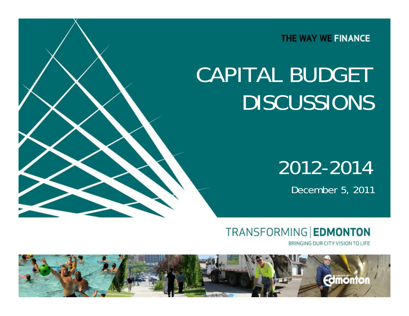THE WAY WE FINANCE

# CAPITAL BUDGET DISCUSSIONS

## 2012-2014

December 5, 2011

**TRANSFORMING EDMONTON** 

BRINGING OUR CITY VISION TO LIFE

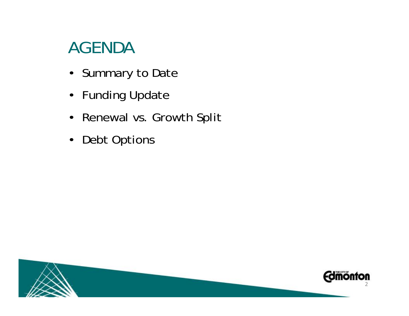### AGENDA

- Summary to Date
- Funding Update
- Renewal vs. Growth Split
- Debt Options

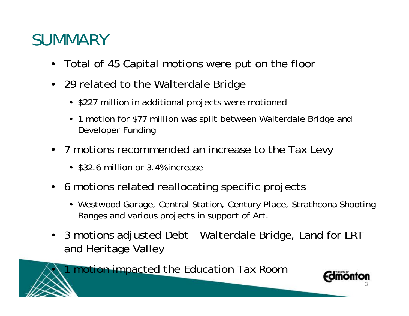### **SUMMARY**

- Total of 45 Capital motions were put on the floor
- 29 related to the Walterdale Bridge
	- \$227 million in additional projects were motioned
	- 1 motion for \$77 million was split between Walterdale Bridge and Developer Funding
- 7 motions recommended an increase to the Tax Levy
	- \$32.6 million or 3.4% increase
- 6 motions related reallocating specific projects
	- Westwood Garage, Central Station, Century Place, Strathcona Shooting Ranges and various projects in support of Art.
- 3 motions adjusted Debt Walterdale Bridge, Land for LRT and Heritage Valley

1 motion impacted the Education Tax Room

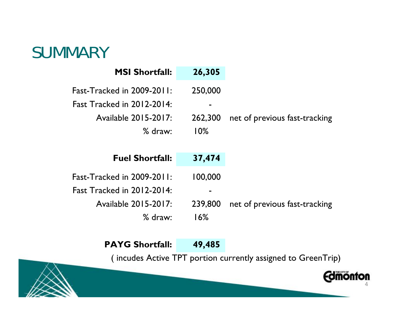### SUMMARY

| <b>MSI Shortfall:</b>             | 26,305  |                               |
|-----------------------------------|---------|-------------------------------|
| Fast-Tracked in $2009-2011$ :     | 250,000 |                               |
| Fast Tracked in $2012-2014$ :     |         |                               |
| Available 2015-2017:              | 262,300 | net of previous fast-tracking |
| $%$ draw:                         | 10%     |                               |
|                                   |         |                               |
| <b>Fuel Shortfall:</b>            | 37,474  |                               |
| <b>Fast-Tracked in 2009-2011:</b> | 100,000 |                               |
| Fast Tracked in $2012-2014$ :     |         |                               |
|                                   | 239,800 | net of previous fast-tracking |
| Available 2015-2017:              |         |                               |

#### PAYG Shortfall: 49,485

( incudes Active TPT portion currently assigned to GreenTrip)

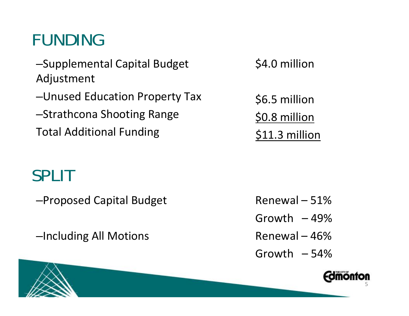## FUNDING

–Supplemental Capital Budget Adjustment

–Unused Education Property Tax

–Strathcona Shooting Range Total Additional Funding

### SPLIT

–Proposed Capital Budget

–Including All Motions

\$4.0 million

\$6.5 million \$0.8 million \$11.3 million

Renewal – 51%Growth – 49%Renewal – 46%Growth – 54%

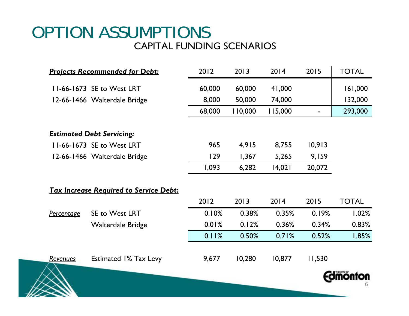### OPTION ASSUMPTIONS CAPITAL FUNDING SCENARIOS

|                 | <b>Projects Recommended for Debt:</b>         | 2012   | 2013    | 2014    | 2015   | <b>TOTAL</b> |
|-----------------|-----------------------------------------------|--------|---------|---------|--------|--------------|
|                 | 11-66-1673 SE to West LRT                     | 60,000 | 60,000  | 41,000  |        | 161,000      |
|                 | 12-66-1466 Walterdale Bridge                  | 8,000  | 50,000  | 74,000  |        | 132,000      |
|                 |                                               | 68,000 | 110,000 | 115,000 |        | 293,000      |
|                 | <b>Estimated Debt Servicing:</b>              |        |         |         |        |              |
|                 | 11-66-1673 SE to West LRT                     | 965    | 4,915   | 8,755   | 10,913 |              |
|                 | 12-66-1466 Walterdale Bridge                  | 129    | 1,367   | 5,265   | 9,159  |              |
|                 |                                               | 1,093  | 6,282   | 14,021  | 20,072 |              |
|                 | <b>Tax Increase Required to Service Debt:</b> |        |         |         |        |              |
|                 |                                               | 2012   | 2013    | 2014    | 2015   | <b>TOTAL</b> |
| Percentage      | SE to West LRT                                | 0.10%  | 0.38%   | 0.35%   | 0.19%  | 1.02%        |
|                 | <b>Walterdale Bridge</b>                      | 0.01%  | 0.12%   | 0.36%   | 0.34%  | 0.83%        |
|                 |                                               | 0.11%  | 0.50%   | 0.71%   | 0.52%  | 1.85%        |
| <b>Revenues</b> | <b>Estimated 1% Tax Levy</b>                  | 9,677  | 10,280  | 10,877  | 11,530 |              |
|                 |                                               |        |         |         |        |              |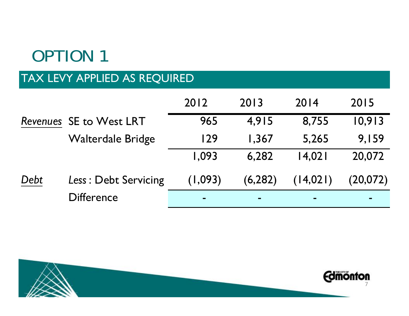## OPTION 1

### TAX LEVY APPLIED AS REQUIRED

|      |                          | 2012    | 2013           | 2014       | 2015     |
|------|--------------------------|---------|----------------|------------|----------|
|      | Revenues SE to West LRT  | 965     | 4,915          | 8,755      | 10,913   |
|      | <b>Walterdale Bridge</b> | 129     | 1,367          | 5,265      | 9,159    |
|      |                          | 1,093   | 6,282          | 14,021     | 20,072   |
| Debt | Less: Debt Servicing     | (1,093) | (6, 282)       | (14, 021)  | (20,072) |
|      | <b>Difference</b>        |         | $\blacksquare$ | <b>COL</b> |          |

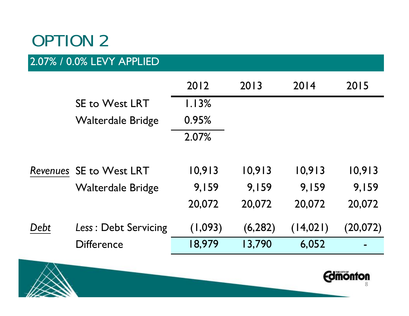### OPTION 2

### 2.07% / 0.0% LEVY APPLIED

|      |                          | 2012    | 2013     | 2014      | 2015     |
|------|--------------------------|---------|----------|-----------|----------|
|      | <b>SE to West LRT</b>    | 1.13%   |          |           |          |
|      | Walterdale Bridge        | 0.95%   |          |           |          |
|      |                          | 2.07%   |          |           |          |
|      | Revenues SE to West LRT  | 10,913  | 10,913   | 10,913    | 10,913   |
|      | <b>Walterdale Bridge</b> | 9,159   | 9,159    | 9,159     | 9,159    |
|      |                          | 20,072  | 20,072   | 20,072    | 20,072   |
| Debt | Less: Debt Servicing     | (1,093) | (6, 282) | (14, 021) | (20,072) |
|      | <b>Difference</b>        | 18,979  | 13,790   | 6,052     |          |
|      |                          |         |          |           |          |